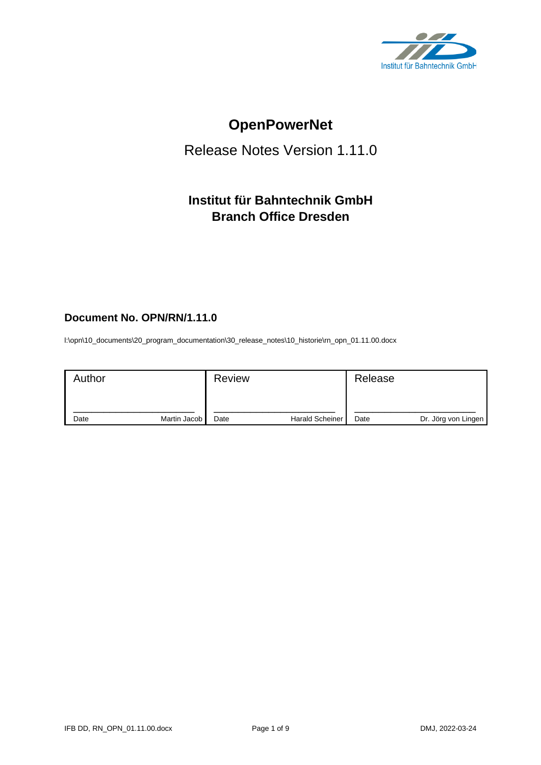

# **OpenPowerNet**

# Release Notes Version 1.11.0

# **Institut für Bahntechnik GmbH Branch Office Dresden**

# **Document No. OPN/RN/1.11.0**

l:\opn\10\_documents\20\_program\_documentation\30\_release\_notes\10\_historie\rn\_opn\_01.11.00.docx

| Author |              | <b>Review</b> |                 | Release |                     |
|--------|--------------|---------------|-----------------|---------|---------------------|
| Date   | Martin Jacob | Date          | Harald Scheiner | Date    | Dr. Jörg von Lingen |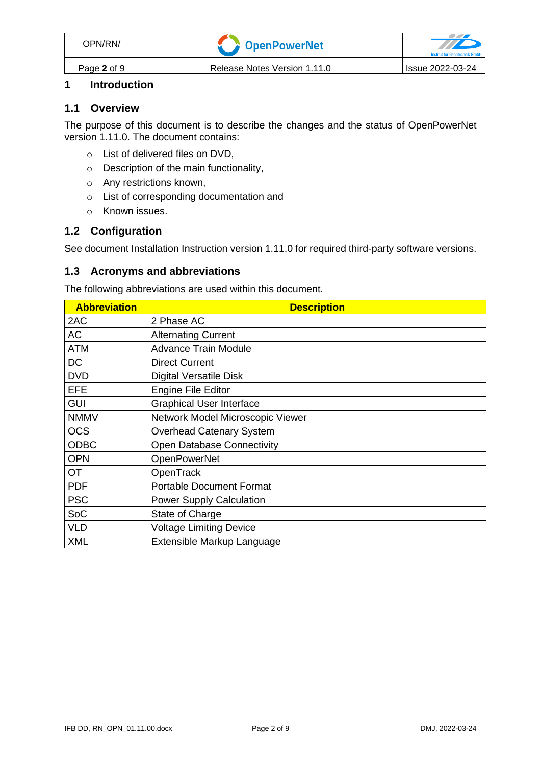# **1 Introduction**

#### **1.1 Overview**

The purpose of this document is to describe the changes and the status of OpenPowerNet version 1.11.0. The document contains:

- o List of delivered files on DVD,
- o Description of the main functionality,
- o Any restrictions known,
- o List of corresponding documentation and
- o Known issues.

#### **1.2 Configuration**

See document Installation Instruction version 1.11.0 for required third-party software versions.

#### **1.3 Acronyms and abbreviations**

The following abbreviations are used within this document.

| <b>Abbreviation</b> | <b>Description</b>                |
|---------------------|-----------------------------------|
| 2AC                 | 2 Phase AC                        |
| <b>AC</b>           | <b>Alternating Current</b>        |
| <b>ATM</b>          | <b>Advance Train Module</b>       |
| <b>DC</b>           | <b>Direct Current</b>             |
| <b>DVD</b>          | <b>Digital Versatile Disk</b>     |
| <b>EFE</b>          | <b>Engine File Editor</b>         |
| <b>GUI</b>          | <b>Graphical User Interface</b>   |
| <b>NMMV</b>         | Network Model Microscopic Viewer  |
| <b>OCS</b>          | <b>Overhead Catenary System</b>   |
| <b>ODBC</b>         | <b>Open Database Connectivity</b> |
| <b>OPN</b>          | <b>OpenPowerNet</b>               |
| <b>OT</b>           | OpenTrack                         |
| <b>PDF</b>          | <b>Portable Document Format</b>   |
| <b>PSC</b>          | <b>Power Supply Calculation</b>   |
| SoC                 | State of Charge                   |
| <b>VLD</b>          | <b>Voltage Limiting Device</b>    |
| <b>XML</b>          | Extensible Markup Language        |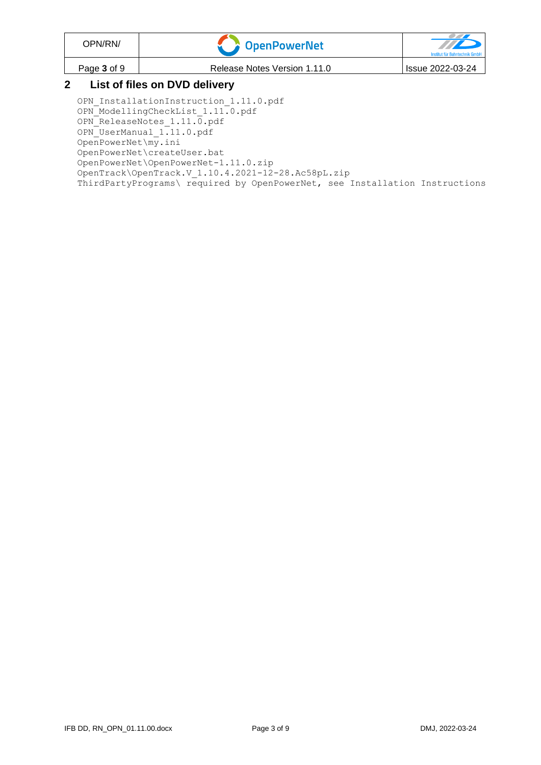| OPN/RN/                       | <b>COPENDENT COPENDENT</b>   | Institut für Bahntechnik GmbH |  |  |
|-------------------------------|------------------------------|-------------------------------|--|--|
| Page 3 of 9                   | Release Notes Version 1.11.0 | Issue 2022-03-24              |  |  |
| List of files on DVD delivery |                              |                               |  |  |

#### **2 List of files on DVD delivery**

OPN InstallationInstruction 1.11.0.pdf OPN\_ModellingCheckList\_1.11.0.pdf OPN\_ReleaseNotes\_1.11.0.pdf OPN\_UserManual\_1.11.0.pdf OpenPowerNet\my.ini OpenPowerNet\createUser.bat OpenPowerNet\OpenPowerNet-1.11.0.zip OpenTrack\OpenTrack.V\_1.10.4.2021-12-28.Ac58pL.zip ThirdPartyPrograms\ required by OpenPowerNet, see Installation Instructions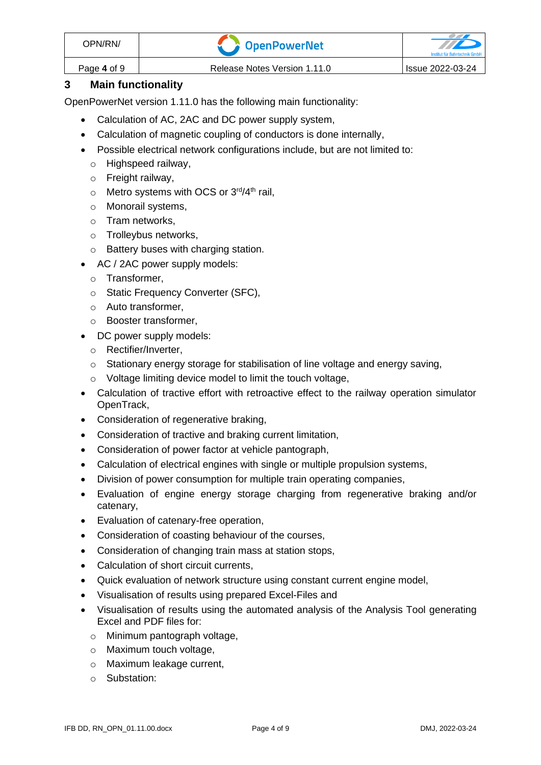| OPN/RN/     | OpenPowerNet                 |                  |
|-------------|------------------------------|------------------|
| Page 4 of 9 | Release Notes Version 1.11.0 | Issue 2022-03-24 |

# **3 Main functionality**

OpenPowerNet version 1.11.0 has the following main functionality:

- Calculation of AC, 2AC and DC power supply system,
- Calculation of magnetic coupling of conductors is done internally,
- Possible electrical network configurations include, but are not limited to:
	- o Highspeed railway,
	- o Freight railway,
	- $\circ$  Metro systems with OCS or 3<sup>rd</sup>/4<sup>th</sup> rail,
	- o Monorail systems,
	- o Tram networks,
	- o Trolleybus networks,
	- o Battery buses with charging station.
- AC / 2AC power supply models:
	- o Transformer,
	- o Static Frequency Converter (SFC),
	- o Auto transformer,
	- o Booster transformer,
- DC power supply models:
	- o Rectifier/Inverter,
	- $\circ$  Stationary energy storage for stabilisation of line voltage and energy saving,
	- o Voltage limiting device model to limit the touch voltage,
- Calculation of tractive effort with retroactive effect to the railway operation simulator OpenTrack,
- Consideration of regenerative braking,
- Consideration of tractive and braking current limitation,
- Consideration of power factor at vehicle pantograph,
- Calculation of electrical engines with single or multiple propulsion systems,
- Division of power consumption for multiple train operating companies,
- Evaluation of engine energy storage charging from regenerative braking and/or catenary,
- Evaluation of catenary-free operation,
- Consideration of coasting behaviour of the courses,
- Consideration of changing train mass at station stops,
- Calculation of short circuit currents,
- Quick evaluation of network structure using constant current engine model,
- Visualisation of results using prepared Excel-Files and
- Visualisation of results using the automated analysis of the Analysis Tool generating Excel and PDF files for:
	- o Minimum pantograph voltage,
	- o Maximum touch voltage,
	- o Maximum leakage current,
	- o Substation: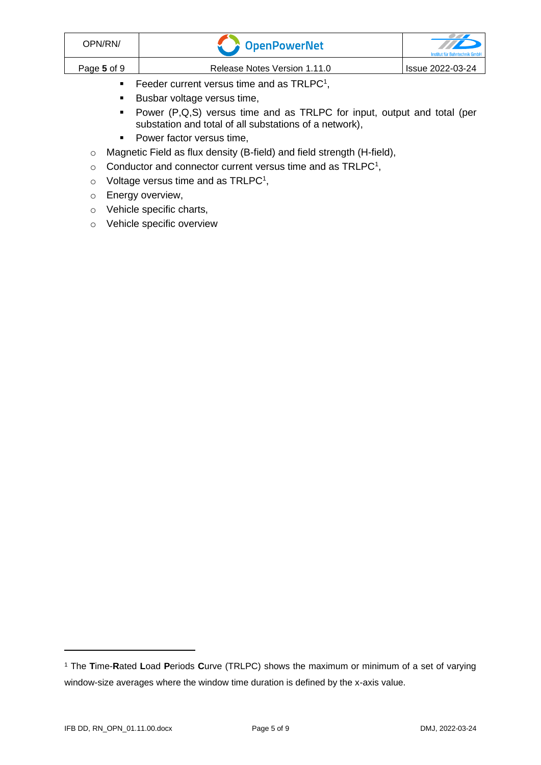| OPN/RN/     | OpenPowerNet                                 | TIP<br>Institut für Bahntechnik GmbH |
|-------------|----------------------------------------------|--------------------------------------|
| Page 5 of 9 | Release Notes Version 1.11.0                 | Issue 2022-03-24                     |
|             | Feeder current versus time and as $TRLPC1$ , |                                      |

- <span id="page-4-0"></span>■ Busbar voltage versus time,
- Power (P,Q,S) versus time and as TRLPC for input, output and total (per substation and total of all substations of a network),
- Power factor versus time,
- o Magnetic Field as flux density (B-field) and field strength (H-field),
- $\circ$  [C](#page-4-0)onductor and connector current versus time and as TRLPC<sup>1</sup>,
- $\circ$  Voltage versus time and as TRLPC<sup>[1](#page-4-0)</sup>,
- o Energy overview,
- o Vehicle specific charts,
- o Vehicle specific overview

<sup>1</sup> The **T**ime-**R**ated **L**oad **P**eriods **C**urve (TRLPC) shows the maximum or minimum of a set of varying window-size averages where the window time duration is defined by the x-axis value.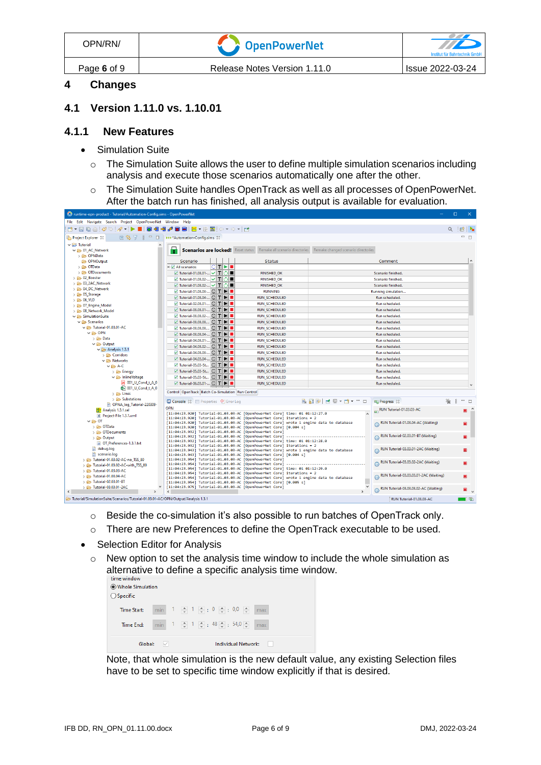| OPN/RN/     | <b>Component Proper</b>      | Institut für Bahntechnik GmbH |
|-------------|------------------------------|-------------------------------|
| Page 6 of 9 | Release Notes Version 1.11.0 | <b>Issue 2022-03-24</b>       |

#### **4 Changes**

#### **4.1 Version 1.11.0 vs. 1.10.01**

#### **4.1.1 New Features**

- Simulation Suite
	- o The Simulation Suite allows the user to define multiple simulation scenarios including analysis and execute those scenarios automatically one after the other.
	- o The Simulation Suite handles OpenTrack as well as all processes of OpenPowerNet. After the batch run has finished, all analysis output is available for evaluation.

| O runtime-opn-product - Tutorial/Automation-Config.sims - OpenPowerNet              |                                                                                                                  |                                                                                                                                                                       |                                       |                                        | $\Box$<br>$\times$ |  |
|-------------------------------------------------------------------------------------|------------------------------------------------------------------------------------------------------------------|-----------------------------------------------------------------------------------------------------------------------------------------------------------------------|---------------------------------------|----------------------------------------|--------------------|--|
|                                                                                     | File Edit Navigate Search Project OpenPowerNet Window Help                                                       |                                                                                                                                                                       |                                       |                                        |                    |  |
| B. 2009:40:0 → - > ■ 3 4 4 4 3 8   K - 9 2:0 - 0 - 14                               |                                                                                                                  |                                                                                                                                                                       |                                       |                                        | ■                  |  |
| Project Explorer &                                                                  | 日\$了8 = □   →→ *Automation-Config.sims 23                                                                        |                                                                                                                                                                       |                                       |                                        | $=$ $F$            |  |
| $\vee$ $\overrightarrow{E}$ Tutorial                                                |                                                                                                                  |                                                                                                                                                                       |                                       |                                        |                    |  |
| $\vee$ $\implies$ 01 AC Network                                                     | Н                                                                                                                | <b>Scenarios are locked!</b> Reset status Remake all scenario directories                                                                                             | Remake changed scenario directories   |                                        |                    |  |
| > C OPNData                                                                         |                                                                                                                  |                                                                                                                                                                       |                                       |                                        |                    |  |
| <b>CD-</b> OPNOutput                                                                | Scenario                                                                                                         | <b>Status</b>                                                                                                                                                         |                                       | Comment                                |                    |  |
| > <b>C</b> OTData                                                                   | CITIDI≣<br>$\Box \nabla$ All scenarios                                                                           |                                                                                                                                                                       |                                       |                                        |                    |  |
| > © OTD ocuments                                                                    | V Tutorial-01.03.01- V   T   O   ■                                                                               | <b>FINISHED_OK</b>                                                                                                                                                    |                                       | Scenario finished.                     |                    |  |
| $\geq$ $\geq$ 02 Booster                                                            | V Tutorial-01.03.02- V   T   O                                                                                   | <b>FINISHED_OK</b>                                                                                                                                                    |                                       | Scenario finished.                     |                    |  |
| > 2AC_Network                                                                       | V Tutorial-01.03.02- V T   O                                                                                     | <b>FINISHED_OK</b>                                                                                                                                                    |                                       | Scenario finished.                     |                    |  |
| > 2 04 DC_Network                                                                   | V Tutorial-01.03.03- C   T   ■                                                                                   | <b>RUNNING</b>                                                                                                                                                        |                                       | Running simulation                     |                    |  |
| $\geq$ 05 Storage                                                                   | $\triangledown$ Tutorial-01.03.04- $\bigcirc$ $\blacksquare$ $\blacksquare$                                      | <b>RUN SCHEDULED</b>                                                                                                                                                  |                                       | Run scheduled.                         |                    |  |
| $\geq$ $\geq$ 06 VLD                                                                |                                                                                                                  |                                                                                                                                                                       |                                       |                                        |                    |  |
| > 2 07_Engine_Model                                                                 | V Tutorial-02.03.01- C   T   ■                                                                                   | <b>RUN SCHEDULED</b>                                                                                                                                                  |                                       | Run scheduled.                         |                    |  |
| > 2 08 Network Model                                                                | $\triangledown$ Tutorial-03.03.01- $\subset$ $\mid$ $\mid$ $\mid$ $\mid$ $\mid$                                  | <b>RUN SCHEDULED</b>                                                                                                                                                  |                                       | Run scheduled.                         |                    |  |
| $\vee$ $\rightarrow$ SimulationSuite                                                | V Tutorial-03.03.02- C   T   ▶   ■                                                                               | <b>RUN_SCHEDULED</b>                                                                                                                                                  |                                       | Run scheduled.                         |                    |  |
| $\vee$ $\rightarrow$ Scenarios                                                      | $\triangledown$ Tutorial-03.03.03 $\bigcirc$ $\blacksquare$ $\blacksquare$                                       | <b>RUN_SCHEDULED</b>                                                                                                                                                  |                                       | Run scheduled.                         |                    |  |
| V & Tutorial-01.03.01-AC                                                            | V Tutorial-03.03.03 C   T   ■                                                                                    | <b>RUN_SCHEDULED</b>                                                                                                                                                  |                                       | Run scheduled.                         |                    |  |
| $\vee \triangleright$ OPN                                                           | <b>▽ Tutorial-03.03.04- C   T   ▶   ■</b>                                                                        | RUN_SCHEDULED                                                                                                                                                         |                                       | Run scheduled.                         |                    |  |
| > 2 Data                                                                            | $\vee$ Tutorial-04.03.01- $\Box$ $\Box$ $\Box$                                                                   | <b>RUN_SCHEDULED</b>                                                                                                                                                  |                                       | Run scheduled.                         |                    |  |
| $\vee \rightarrow$ Output                                                           | <b>▽ Tutorial-04.03.02- C T      </b>                                                                            | <b>RUN SCHEDULED</b>                                                                                                                                                  |                                       | Run scheduled.                         |                    |  |
| $\vee$ $\rightarrow$ Analysis 1.3.1                                                 | V Tutorial-04.03.03- C   T   ▶   ■                                                                               | <b>RUN SCHEDULED</b>                                                                                                                                                  |                                       | Run scheduled.                         |                    |  |
| $\triangleright$ $\triangleright$ Corridors                                         | <b>▽ Tutorial-04.03.04- C   T   D   ■</b>                                                                        | <b>RUN SCHEDULED</b>                                                                                                                                                  |                                       | Run scheduled.                         |                    |  |
| $\vee$ $\triangleright$ Networks                                                    | $\vee$ Tutorial-05.03-St $\Box$ $\Box$ $\Box$                                                                    |                                                                                                                                                                       |                                       | Run scheduled.                         |                    |  |
| $\vee \triangleright$ A-C                                                           |                                                                                                                  | <b>RUN_SCHEDULED</b>                                                                                                                                                  |                                       |                                        |                    |  |
| > Energy                                                                            | $\triangledown$ Tutorial-05.03-St $\bigcirc$ $\top$ $\blacktriangleright$ $\blacksquare$                         | <b>RUN SCHEDULED</b>                                                                                                                                                  |                                       | Run scheduled.                         |                    |  |
| $\vee$ $\rightarrow$ InlineVoltage                                                  | $\vee$ Tutorial-05.03-St $\bigcap$ $\bigcap$ $\bigcap$ $\bigcap$                                                 | <b>RUN SCHEDULED</b>                                                                                                                                                  |                                       | Run scheduled.                         |                    |  |
| A 001_U_Cond_t_A_0                                                                  | $\triangledown$ Tutorial-06.03.01- $\bigcirc$ $\bigcap$ $\bigtriangledown$ $\bigtriangledown$ $\bigtriangledown$ | <b>RUN SCHEDULED</b>                                                                                                                                                  |                                       | Run scheduled.                         |                    |  |
| <b>B= 001_U_Cond_t_A_0</b>                                                          | Control OpenTrack Batch Co-Simulation Run Control                                                                |                                                                                                                                                                       |                                       |                                        |                    |  |
| $\geq$ $\triangleright$ Lines                                                       |                                                                                                                  |                                                                                                                                                                       |                                       |                                        |                    |  |
| $\geq$ Substations                                                                  | Console 23 El Properties 9 Error Log                                                                             |                                                                                                                                                                       | <b>B. M. B. H. H. D. - D.</b> - P. D. | <b>ER Progress 83</b>                  | $= 5$              |  |
| OPNA log Tutorial-220309-                                                           | <b>OPN</b>                                                                                                       |                                                                                                                                                                       |                                       | RUN Tutorial-01.03.03-AC               |                    |  |
| Analysis 1.3.1.sel                                                                  |                                                                                                                  | [11:04:23.920] Tutorial-01.03.03-AC [OpenPowerNet Core] time: 01 01:12:27.0                                                                                           |                                       |                                        | Ξ                  |  |
| R Project-File 1.3.1.xml<br>$\vee \triangleright 0$ T                               |                                                                                                                  | $[11:04:23.920]$ Tutorial-01.03.03-AC [OpenPowerNet Core] iterations = 2                                                                                              |                                       |                                        |                    |  |
| > © OTData                                                                          |                                                                                                                  | [11:04:23.920] Tutorial-01.03.03-AC [OpenPowerNet Core] wrote 1 engine data to database                                                                               |                                       | RUN Tutorial-01.03.04-AC (Waiting)     | Ξ                  |  |
| > © OTDocuments                                                                     | [11:04:23.932] Tutorial-01.03.03-AC [OpenPowerNet Core]                                                          | [11:04:23.920] Tutorial-01.03.03-AC [OpenPowerNet Core] [0.004 s]                                                                                                     |                                       |                                        |                    |  |
| > 2 Output                                                                          | [11:04:23.932] Tutorial-01.03.03-AC [OpenPowerNet Core]                                                          |                                                                                                                                                                       |                                       | RUN Tutorial-02.03.01-BT (Waiting)     |                    |  |
| OT_Preferences-1.3.1.txt                                                            | [11:04:23.932] Tutorial-01.03.03-AC                                                                              | [OpenPowerNet Core]<br>time: 01 01:12:28.0                                                                                                                            |                                       |                                        |                    |  |
| debug.log                                                                           | [11:04:23.932] Tutorial-01.03.03-AC                                                                              | [OpenPowerNet Core] iterations = 2                                                                                                                                    |                                       | RUN Tutorial-03.03.01-2AC (Waiting)    |                    |  |
| scenario.log                                                                        |                                                                                                                  | [11:04:23.943] Tutorial-01.03.03-AC [OpenPowerNet Core] wrote 1 engine data to database<br>[11:04:23.943] Tutorial-01.03.03-AC [OpenPowerNet Core] [0.004 s]          |                                       |                                        |                    |  |
| > 2 Tutorial-01.03.02-AC-no TSS 80                                                  | [11:04:23.954] Tutorial-01.03.03-AC [OpenPowerNet Core]                                                          |                                                                                                                                                                       |                                       |                                        |                    |  |
| > 20 Tutorial-01.03.02-AC-with TSS 80                                               | [11:04:23.954] Tutorial-01.03.03-AC                                                                              | [OpenPowerNet Core]                                                                                                                                                   |                                       | RUN Tutorial-03.03.02-2AC (Waiting)    | $\square$          |  |
| > @ Tutorial-01.03.03-AC                                                            |                                                                                                                  | [11:04:23.954] Tutorial-01.03.03-AC [OpenPowerNet Core] time: 01 01:12:29.0                                                                                           |                                       |                                        |                    |  |
| > 2 Tutorial-01.03.04-AC                                                            |                                                                                                                  | $[11:04:23.954]$ Tutorial-01.03.03-AC $[OpenPowerNet Core]$ iterations = 2<br>[11:04:23.954] Tutorial-01.03.03-AC [OpenPowerNet Core] wrote 1 engine data to database |                                       | RUN Tutorial-03.03.03.01-2AC (Waiting) | $\blacksquare$     |  |
| > 2 Tutorial-02.03.01-BT                                                            |                                                                                                                  | [11:04:23.954] Tutorial-01.03.03-AC [OpenPowerNet Core] [0.005 s]                                                                                                     |                                       |                                        |                    |  |
| > 2AC                                                                               | [11:04:23.975] Tutorial-01.03.03-AC [OpenPowerNet Core]                                                          |                                                                                                                                                                       |                                       | RUN Tutorial-03.03.03.02-AC (Waiting)  |                    |  |
| $\overline{\phantom{a}}$                                                            |                                                                                                                  |                                                                                                                                                                       |                                       |                                        |                    |  |
| 3.1.3.1 Tutorial/SimulationSuite/Scenarios/Tutorial-01.03.01-AC/OPN/Output/Analysis |                                                                                                                  |                                                                                                                                                                       |                                       | RUN Tutorial-01.03.03-AC               | n G                |  |

- o Beside the co-simulation it's also possible to run batches of OpenTrack only.
- o There are new Preferences to define the OpenTrack executable to be used.
- Selection Editor for Analysis
	- o New option to set the analysis time window to include the whole simulation as alternative to define a specific analysis time window.

| time window<br>Whole Simulation<br>$\bigcirc$ Specific |  |                                                                         |
|--------------------------------------------------------|--|-------------------------------------------------------------------------|
| <b>Time Start:</b>                                     |  | min $1 \oplus 1 \oplus 1$ $\oplus$ : 0 $\oplus$ : 0,0 $\oplus$<br>max   |
| Time End:                                              |  | min $1 \oplus 1 \oplus 1$ $\oplus$ : 48 $\oplus$ : 54,0 $\oplus$<br>max |
| Global:                                                |  | Individual Network:                                                     |

Note, that whole simulation is the new default value, any existing Selection files have to be set to specific time window explicitly if that is desired.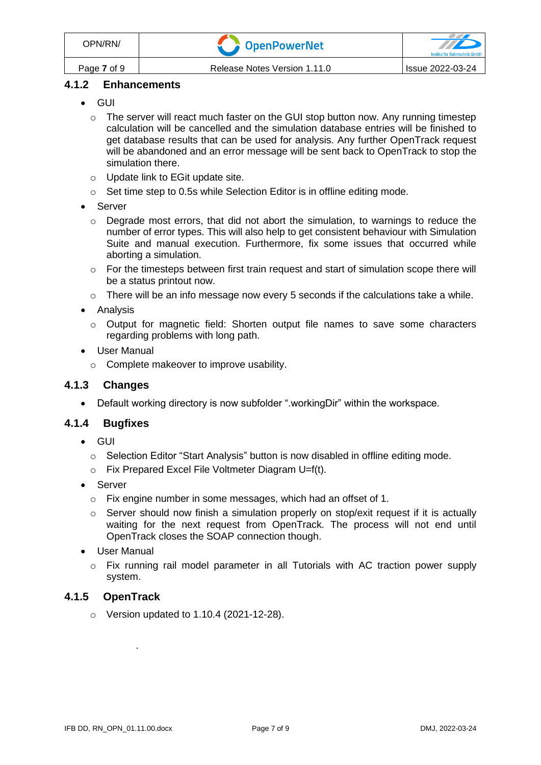# **4.1.2 Enhancements**

- GUI
	- $\circ$  The server will react much faster on the GUI stop button now. Any running timestep calculation will be cancelled and the simulation database entries will be finished to get database results that can be used for analysis. Any further OpenTrack request will be abandoned and an error message will be sent back to OpenTrack to stop the simulation there.
	- o Update link to EGit update site.
	- $\circ$  Set time step to 0.5s while Selection Editor is in offline editing mode.
- Server
	- o Degrade most errors, that did not abort the simulation, to warnings to reduce the number of error types. This will also help to get consistent behaviour with Simulation Suite and manual execution. Furthermore, fix some issues that occurred while aborting a simulation.
	- $\circ$  For the timesteps between first train request and start of simulation scope there will be a status printout now.
	- $\circ$  There will be an info message now every 5 seconds if the calculations take a while.
- Analysis
	- $\circ$  Output for magnetic field: Shorten output file names to save some characters regarding problems with long path.
- User Manual
	- o Complete makeover to improve usability.

#### **4.1.3 Changes**

• Default working directory is now subfolder ".workingDir" within the workspace.

# **4.1.4 Bugfixes**

- GUI
	- $\circ$  Selection Editor "Start Analysis" button is now disabled in offline editing mode.
	- o Fix Prepared Excel File Voltmeter Diagram U=f(t).
- Server
	- o Fix engine number in some messages, which had an offset of 1.
	- $\circ$  Server should now finish a simulation properly on stop/exit request if it is actually waiting for the next request from OpenTrack. The process will not end until OpenTrack closes the SOAP connection though.
- User Manual
	- $\circ$  Fix running rail model parameter in all Tutorials with AC traction power supply system.

#### **4.1.5 OpenTrack**

o Version updated to 1.10.4 (2021-12-28).

.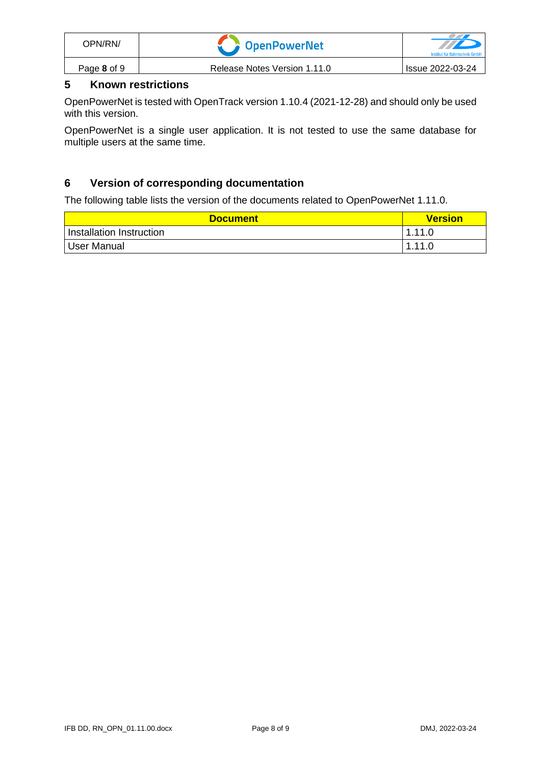| OPN/RN/     | <b>Component Component Component</b> | Institut für Bahntechnik Gmbl |
|-------------|--------------------------------------|-------------------------------|
| Page 8 of 9 | Release Notes Version 1.11.0         | <b>Issue 2022-03-24</b>       |

# **5 Known restrictions**

OpenPowerNet is tested with OpenTrack version 1.10.4 (2021-12-28) and should only be used with this version.

OpenPowerNet is a single user application. It is not tested to use the same database for multiple users at the same time.

# **6 Version of corresponding documentation**

The following table lists the version of the documents related to OpenPowerNet 1.11.0.

| <b>Document</b>          | <b>Version</b> |
|--------------------------|----------------|
| Installation Instruction | 1.11.0         |
| <b>User Manual</b>       | 1.11.0         |